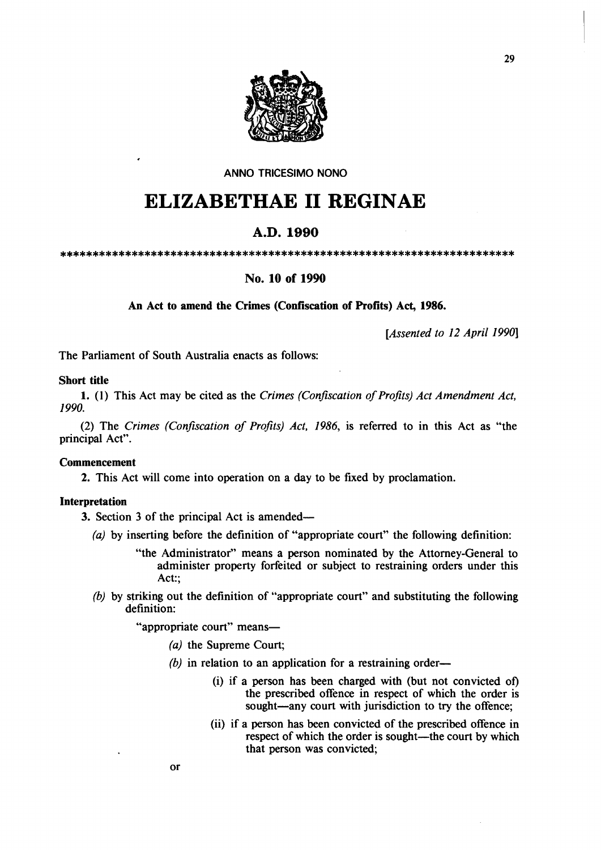

# ANNO TRICESIMO NONO

# **ELIZABETHAE 11 REGINAE**

# A.D.1990

\*\*\*\*\*\*\*\*\*\*\*\*\*\*\*\*\*\*\*\*\*\*\*\*\*\*\*\*\*\*\*\*\*\*\*\*\*\*\*\*\*\*\*\*\*\*\*\*\*\*\*\*\*\*\*\*\*\*\*\*\*\*\*\*\*\*\*\*\*\*

# No. 10 of 1990

An Act to amend the Crimes (Confiscation of Profits) Act, 1986.

*[Assented to* 12 *April 1990]* 

The Parliament of South Australia enacts as follows:

# Short title

1. (1) This Act may be cited as the *Crimes (Confiscation of Profits) Act Amendment Act, 1990.* 

(2) The *Crimes (Confiscation of Profits) Act,* 1986, is referred to in this Act as "the principal Act".

#### Commencement

2. This Act will come into operation on a day to be fixed by proclamation.

#### Interpretation

3. Section 3 of the principal Act is amended-

- (a) by inserting before the definition of "appropriate court" the following definition:
	- "the Administrator" means a person nominated by the Attorney-General to administer property forfeited or subject to restraining orders under this Act:;
- *(b)* by striking out the definition of "appropriate court" and substituting the following definition:

"appropriate court" means-

- (a) the Supreme Court;
- $(b)$  in relation to an application for a restraining order-
	- (i) if a person has been charged with (but not convicted of) the prescribed offence in respect of which the order is sought-any court with jurisdiction to try the offence;
	- (ii) if a person has been convicted of the prescribed offence in respect of which the order is sought—the court by which that person was convicted;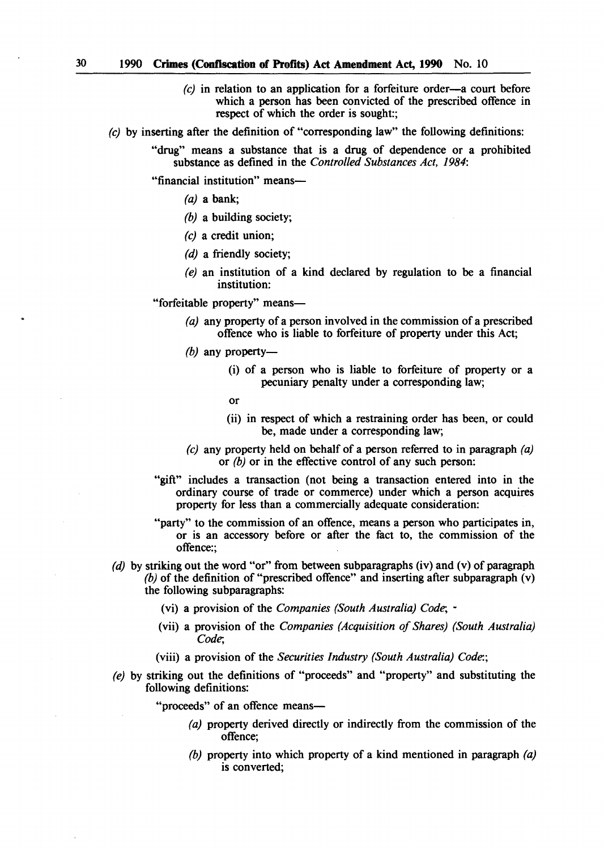- $(c)$  in relation to an application for a forfeiture order-a court before which a person has been convicted of the prescribed offence in respect of which the order is sought:;
- (c) by inserting after the definition of "corresponding law" the following definitions:
	- "drug" means a substance that is a drug of dependence or a prohibited substance as defined in the *Controlled Substances Act, 1984:*

"financial institution" means-

- (a) a bank;
- *(b)* a building society;
- (c) a credit union;
- *(d)* a friendly society;
- (e) an institution of a kind declared by regulation to be a financial institution:

"forfeitable property" means-

- (a) any property of a person involved in the commission of a prescribed offence who is liable to forfeiture of property under this Act;
- *(b)* any property-
	- (i) of a person who is liable to forfeiture of property or a pecuniary penalty under a corresponding law;
	- or
	- (ii) in respect of which a restraining order has been, or could be, made under a corresponding law;
- (c) any property held on behalf of a person referred to in paragraph  $(a)$ or *(b)* or in the effective control of any such person:
- "gift" includes a transaction (not being a transaction entered into in the ordinary course of trade or commerce) under which a person acquires property for less than a commercially adequate consideration:
- "party" to the commission of an offence, means a person who participates in, or is an accessory before or after the fact to, the commission of the offence:;
- *(d)* by striking out the word "or" from between subparagraphs (iv) and (v) of paragraph *(b)* of the definition of "prescribed offence" and inserting after subparagraph (v) the following subparagraphs:
	- (vi) a provision of the *Companies (South Australia) Code; -*
	- (vii) a provision of the *Companies (Acquisition of Shares) (South Australia) Code;*
	- (viii) a provision of the *Securities Industry (South Australia) Code:;*
- (e) by striking out the definitions of "proceeds" and "property" and substituting the following definitions:

"proceeds" of an offence means-

- (a) property derived directly or indirectly from the commission of the offence;
- *(b)* property into which property of a kind mentioned in paragraph (a) is converted;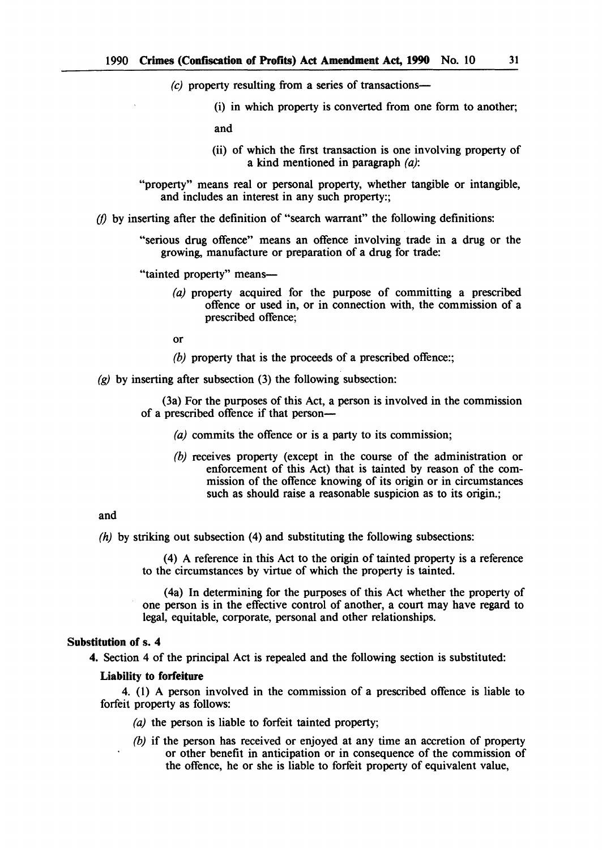$(c)$  property resulting from a series of transactions-

(i) in which property is converted from one form to another;

and

- (ii) of which the first transaction is one involving property of a kind mentioned in paragraph (a):
- "property" means real or personal property, whether tangible or intangible, and includes an interest in any such property:;
- *(f)* by inserting after the definition of "search warrant" the following definitions:

"serious drug offence" means an offence involving trade in a drug or the growing, manufacture or preparation of a drug for trade:

"tainted property" means-

(a) property acquired for the purpose of committing a prescribed offence or used in, or in connection with, the commission of a prescribed offence;

or

- *(b)* property that is the proceeds of a prescribed offence:;
- $(g)$  by inserting after subsection (3) the following subsection:

(3a) For the purposes of this Act, a person is involved in the commission of a prescribed offence if that person-

- (a) commits the offence or is a party to its commission;
- *(b)* receives property (except in the course of the administration or enforcement of this Act) that is tainted by reason of the commission of the offence knowing of its origin or in circumstances such as should raise a reasonable suspicion as to its origin.:

#### and

(h) by striking out subsection (4) and substituting the following subsections:

(4) A reference in this Act to the origin of tainted property is a reference to the circumstances by virtue of which the property is tainted.

(4a) In determining for the purposes of this Act whether the property of one person is in the effective control of another, a court may have regard to legal, equitable, corporate, personal and other relationships.

# Substitution of s. 4

4. Section 4 of the principal Act is repealed and the following section is substituted:

#### Liability to forfeiture

4. (1) A person involved in the commission of a prescribed offence is liable to forfeit property as follows:

- (a) the person is liable to forfeit tainted property;
- *(b)* if the person has received or enjoyed at any time an accretion of property or other benefit in anticipation or in consequence of the commission of the offence, he or she is liable to forfeit property of equivalent value,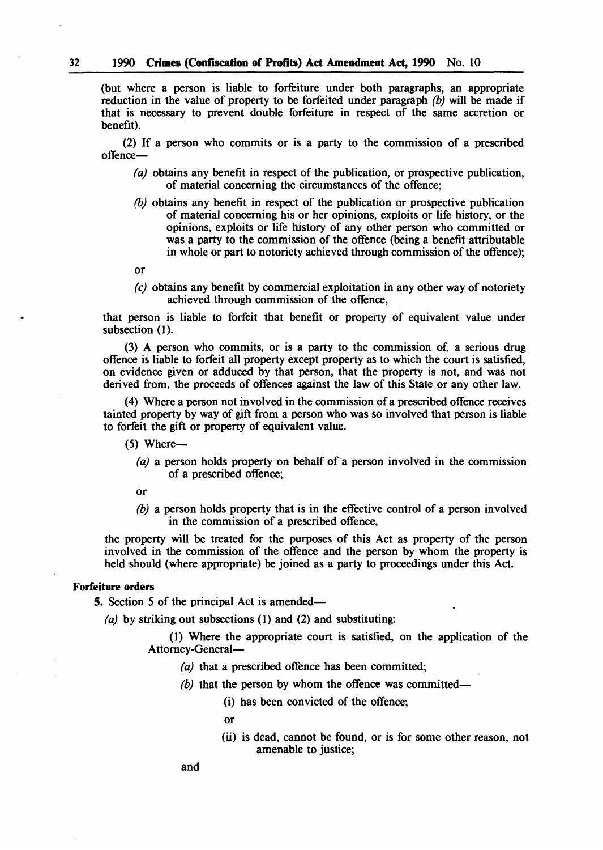(but where a person is liable to forfeiture under both paragraphs, an appropriate reduction in the value of property to be forfeited under paragraph *(b)* will be made if that is necessary to prevent double forfeiture in respect of the same accretion or benefit).

(2) If a person who commits or is a party to the commission of a prescribed offence-

- (a) obtains any benefit in respect of the publication, or prospective publication, of material concerning the circumstances of the offence;
- *(b)* obtains any benefit in respect of the publication or prospective publication of material concerning his or her opinions, exploits or life history, or the opinions, exploits or life history of any other person who committed or was a party to the commission of the offence (being a benefit attributable in whole or part to notoriety achieved through commission of the offence);
- or
- *(e)* obtains any benefit by commercial exploitation in any other way of notoriety achieved through commission of the offence,

that person is liable to forfeit that benefit or property of equivalent value under subsection (I).

(3) A person who commits, or is a party to the commission of, a serious drug offence is liable to forfeit all property except property as to which the court is satisfied, on evidence given or adduced by that person, that the property is not, and was not derived from, the proceeds of offences against the law of this State or any other law.

(4) Where a person not involved in the commission ofa prescribed offence receives tainted property by way of gift from a person who was so involved that person is liable to forfeit the gift or property of equivalent value.

- $(5)$  Where--
	- (a) a person holds property on behalf of a person involved in the commission of a prescribed offence;
	- or
	- *(b)* a person holds property that is in the effective control of a person involved in the commission of a prescribed offence,

the property will be treated for the purposes of this Act as property of the person involved in the commission of the offence and the person by whom the property is held should (where appropriate) be joined as a party to proceedings under this Act.

# Forfeiture orders

5. Section 5 of the principal Act is amended-

(a) by striking out subsections (1) and (2) and substituting:

(1) Where the appropriate court is satisfied, on the application of the Attorney-General-

- (a) that a prescribed offence has been committed;
- (b) that the person by whom the offence was committed-
	- (i) has been convicted of the offence;
	- or
	- (ii) is dead, cannot be found, or is for some other reason, not amenable to justice;

and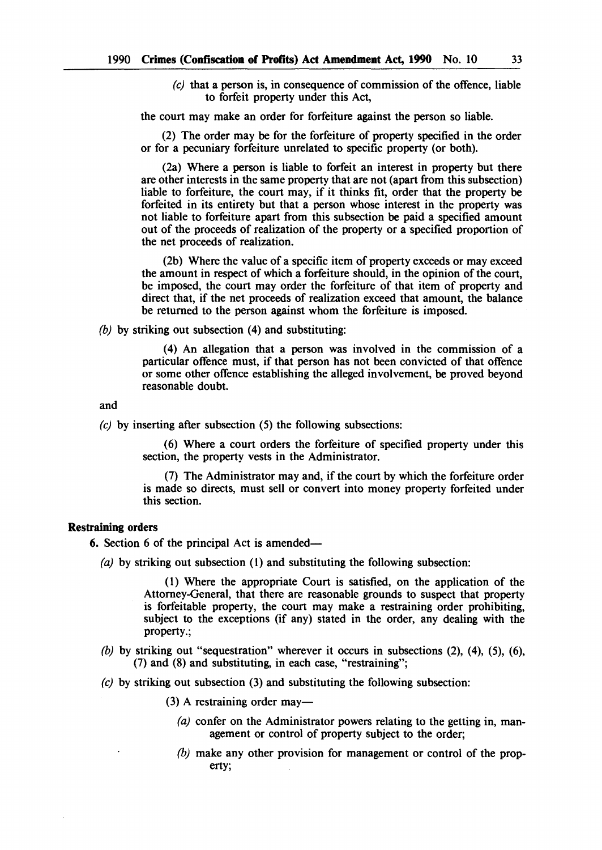*(e)* that a person is, in consequence of commission of the offence, liable to forfeit property under this Act,

the court may make an order for forfeiture against the person so liable.

(2) The order may be for the forfeiture of property specified in the order or for a pecuniary forfeiture unrelated to specific property (or both).

(2a) Where a person is liable to forfeit an interest in property but there are other interests in the same property that are not (apart from this subsection) liable to forfeiture, the court may, if it thinks fit, order that the property be forfeited in its entirety but that a person whose interest in the property was not liable to forfeiture apart from this subsection be paid a specified amount out of the proceeds of realization of the property or a specified proportion of the net proceeds of realization.

(2b) Where the value of a specific item of property exceeds or may exceed the amount in respect of which a forfeiture should, in the opinion of the court, be imposed, the court may order the forfeiture of that item of property and direct that, if the net proceeds of realization exceed that amount, the balance be returned to the person against whom the forfeiture is imposed.

*(b)* by striking out subsection (4) and substituting:

(4) An allegation that a person was involved in the commission of a particular offence must, if that person has not been convicted of that offence or some other offence establishing the alleged involvement, be proved beyond reasonable doubt.

and

*(e)* by inserting after subsection (5) the following subsections:

(6) Where a court orders the forfeiture of specified property under this section, the property vests in the Administrator.

(7) The Administrator may and, if the court by which the forfeiture order is made so directs, must sell or convert into money property forfeited under this section.

# Restraining orders

6. Section 6 of the principal Act is amended-

(a) by striking out subsection (1) and substituting the following subsection:

(1) Where the appropriate Court is satisfied, on the application of the Attorney-General, that there are reasonable grounds to suspect that property is forfeitable property, the court may make a restraining order prohibiting, subject to the exceptions (if any) stated in the order, any dealing with the property.;

- *(b)* by striking out "sequestration" wherever it occurs in subsections (2), (4), (5), (6), (7) and (8) and substituting, in each case, "restraining";
- (e) by striking out subsection (3) and substituting the following subsection:
	- (3) A restraining order may—
		- (a) confer on the Administrator powers relating to the getting in, management or control of property subject to the order;
		- (b) make any other provision for management or control of the property;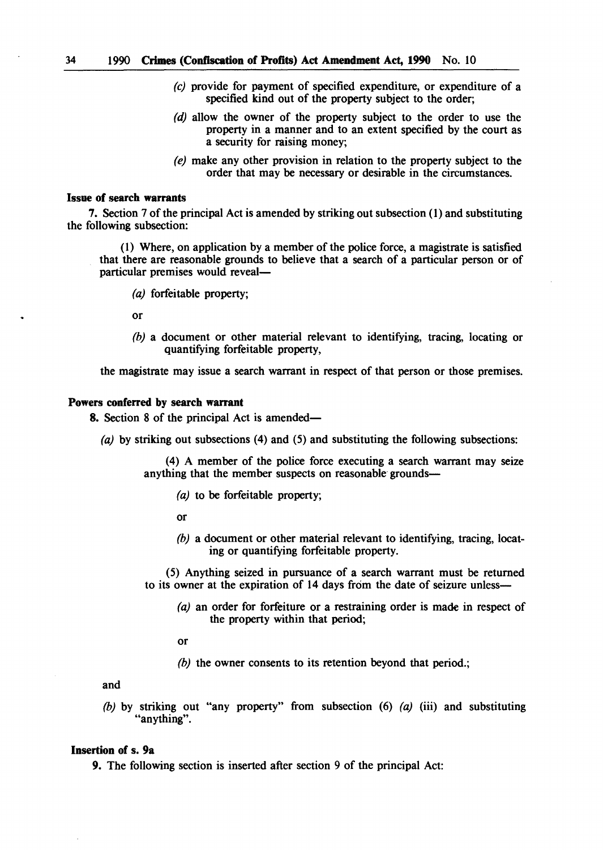- (e) provide for payment of specified expenditure, or expenditure of a specified kind out of the property subject to the order;
- (d) allow the owner of the property subject to the order to use the property in a manner and to an extent specified by the court as a security for raising money;
- (e) make any other provision in relation to the property subject to the order that may be necessary or desirable in the circumstances.

# Issue of search warrants

7. Section 7 of the principal Act is amended by striking out subsection (1) and substituting the following subsection:

(1) Where, on application by a member of the police force, a magistrate is satisfied that there are reasonable grounds to believe that a search of a particular person or of particular premises would reveal-

(a) forfeitable property;

or

*(b)* a document or other material relevant to identifying, tracing, locating or quantifying forfeitable property,

the magistrate may issue a search warrant in respect of that person or those premises.

#### Powers conferred by search warrant

8. Section 8 of the principal Act is amended—

(a) by striking out subsections (4) and (5) and substituting the following subsections:

(4) A member of the police force executing a search warrant may seize anything that the member suspects on reasonable grounds-

(a) to be forfeitable property;

or

*(b)* a document or other material relevant to identifying, tracing, locating or quantifying forfeitable property.

(5) Anything seized in pursuance of a search warrant must be returned to its owner at the expiration of 14 days from the date of seizure unless-

(a) an order for forfeiture or a restraining order is made in respect of the property within that period;

or

*(b)* the owner consents to its retention beyond that period.;

and

*(b)* by striking out "any property" from subsection (6) (a) (iii) and substituting "anything".

# Insertion of s. 9a

9. The following section is inserted after section 9 of the principal Act: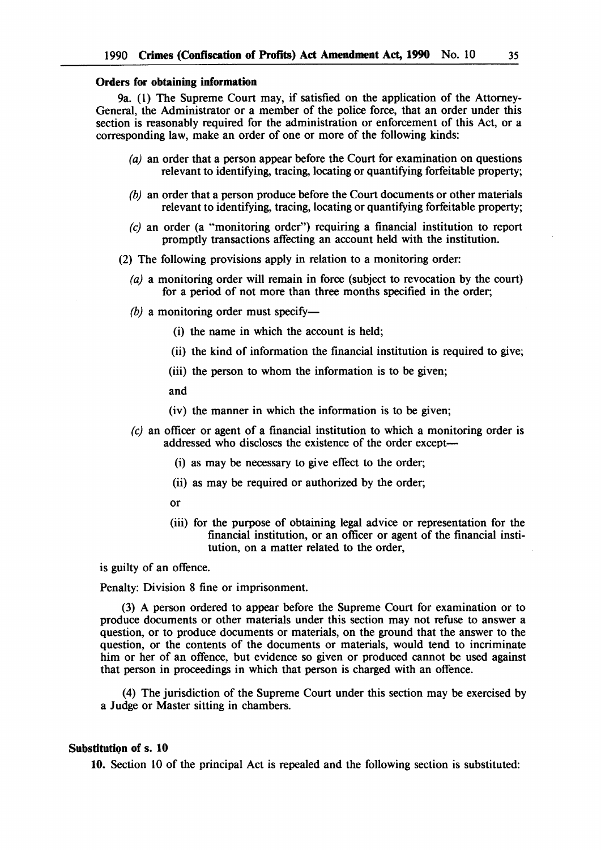#### Orders for obtaining information

9a. (1) The Supreme Court may, if satisfied on the application of the Attorney-General, the Administrator or a member of the police force, that an order under this section is reasonably required for the administration or enforcement of this Act, or a corresponding law, make an order of one or more of the following kinds:

- (a) an order that a person appear before the Court for examination on questions relevant to identifying, tracing, locating or quantifying forfeitable property;
- *(b)* an order that a person produce before the Court documents or other materials relevant to identifying, tracing, locating or quantifying forfeitable property;
- *(e)* an order (a "monitoring order") requiring a financial institution to report promptly transactions affecting an account held with the institution.
- (2) The following provisions apply in relation to a monitoring order:
	- (a) a monitoring order will remain in force (subject to revocation by the court) for a period of not more than three months specified in the order;
	- $(b)$  a monitoring order must specify-
		- (i) the name in which the account is held;
		- (ii) the kind of information the financial institution is required to give;
		- (iii) the person to whom the information is to be given;
		- and
		- (iv) the manner in which the information is to be given;
	- *(e)* an officer or agent of a financial institution to which a monitoring order is addressed who discloses the existence of the order except-
		- (i) as may be necessary to give effect to the order;
		- (ii) as may be required or authorized by the order;
		- or
		- (iii) for the purpose of obtaining legal advice or representation for the financial institution, or an officer or agent of the financial institution, on a matter related to the order,

is guilty of an offence.

Penalty: Division 8 fine or imprisonment.

(3) A person ordered to appear before the Supreme Court for examination or to produce documents or other materials under this section may not refuse to answer a question, or to produce documents or materials, on the ground that the answer to the question, or the contents of the documents or materials, would tend to incriminate him or her of an offence, but evidence so given or produced cannot be used against that person in proceedings in which that person is charged with an offence.

(4) The jurisdiction of the Supreme Court under this section may be exercised by a Judge or Master sitting in chambers.

#### Substitution of s. 10

10. Section 10 of the principal Act is repealed and the following section is substituted: